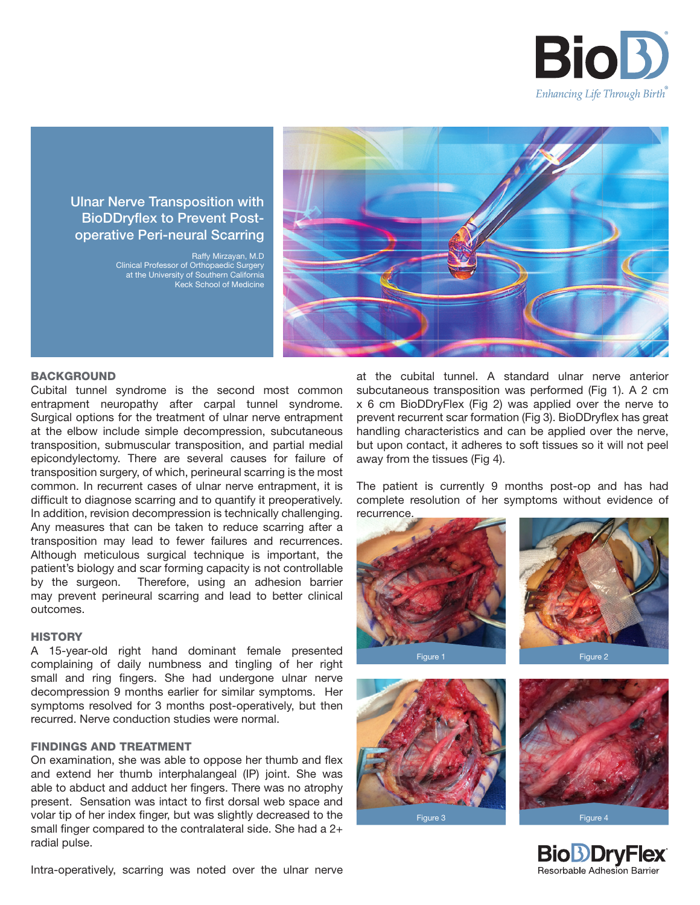

# Ulnar Nerve Transposition with BioDDryflex to Prevent Postoperative Peri-neural Scarring

Raffy Mirzayan, M.D Clinical Professor of Orthopaedic Surgery at the University of Southern California Keck School of Medicine



# **BACKGROUND**

Cubital tunnel syndrome is the second most common entrapment neuropathy after carpal tunnel syndrome. Surgical options for the treatment of ulnar nerve entrapment at the elbow include simple decompression, subcutaneous transposition, submuscular transposition, and partial medial epicondylectomy. There are several causes for failure of transposition surgery, of which, perineural scarring is the most common. In recurrent cases of ulnar nerve entrapment, it is difficult to diagnose scarring and to quantify it preoperatively. In addition, revision decompression is technically challenging. Any measures that can be taken to reduce scarring after a transposition may lead to fewer failures and recurrences. Although meticulous surgical technique is important, the patient's biology and scar forming capacity is not controllable by the surgeon. Therefore, using an adhesion barrier may prevent perineural scarring and lead to better clinical outcomes.

### **HISTORY**

A 15-year-old right hand dominant female presented complaining of daily numbness and tingling of her right small and ring fingers. She had undergone ulnar nerve decompression 9 months earlier for similar symptoms. Her symptoms resolved for 3 months post-operatively, but then recurred. Nerve conduction studies were normal.

# FINDINGS AND TREATMENT

On examination, she was able to oppose her thumb and flex and extend her thumb interphalangeal (IP) joint. She was able to abduct and adduct her fingers. There was no atrophy present. Sensation was intact to first dorsal web space and volar tip of her index finger, but was slightly decreased to the small finger compared to the contralateral side. She had a 2+ radial pulse.

x 6 cm BioDDryFlex (Fig 2) was applied over the nerve to prevent recurrent scar formation (Fig 3). BioDDryflex has great handling characteristics and can be applied over the nerve, but upon contact, it adheres to soft tissues so it will not peel away from the tissues (Fig 4).

The patient is currently 9 months post-op and has had complete resolution of her symptoms without evidence of recurrence.

at the cubital tunnel. A standard ulnar nerve anterior subcutaneous transposition was performed (Fig 1). A 2 cm





Intra-operatively, scarring was noted over the ulnar nerve